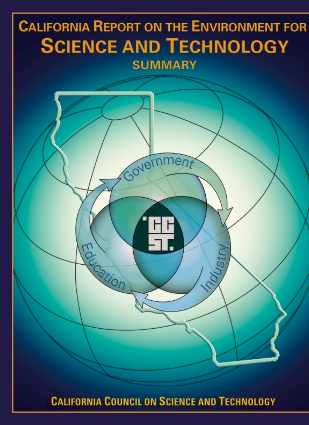

**CALIFORNIA COUNCIL ON SCIENCE AND TECHNOLOGY**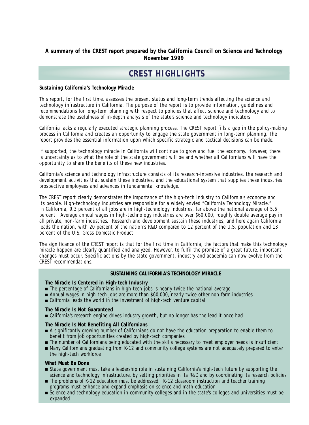### **A summary of the CREST report prepared by the California Council on Science and Technology November 1999**

# **CREST HIGHLIGHTS**

### *Sustaining California's Technology Miracle*

This report, for the first time, assesses the present status and long-term trends affecting the science and technology infrastructure in California. The purpose of the report is to provide information, guidelines and recommendations for long-term planning with respect to policies that affect science and technology and to demonstrate the usefulness of in-depth analysis of the state's science and technology indicators.

California lacks a regularly executed strategic planning process. The CREST report fills a gap in the policy-making process in California and creates an opportunity to engage the state government in long-term planning. The report provides the essential information upon which specific strategic and tactical decisions can be made.

If supported, the technology miracle in California will continue to grow and fuel the economy. However, there is uncertainty as to what the role of the state government will be and whether all Californians will have the opportunity to share the benefits of these new industries.

California's science and technology infrastructure consists of its research-intensive industries, the research and development activities that sustain these industries, and the educational system that supplies these industries prospective employees and advances in fundamental knowledge.

The CREST report clearly demonstrates the importance of the high-tech industry to California's economy and its people. High-technology industries are responsible for a widely envied "California Technology Miracle." In California, 9.3 percent of all jobs are in high-technology industries, far above the national average of 5.6 percent. Average annual wages in high-technology industries are over \$60,000, roughly double average pay in all private, non-farm industries. Research and development sustain these industries, and here again California leads the nation, with 20 percent of the nation's R&D compared to 12 percent of the U.S. population and 13 percent of the U.S. Gross Domestic Product.

The significance of the CREST report is that for the first time in California, the factors that make this technology miracle happen are clearly quantified and analyzed. However, to fulfil the promise of a great future, important changes must occur. Specific actions by the state government, industry and academia can now evolve from the CREST recommendations.

### **SUSTAINING CALIFORNIA'S TECHNOLOGY MIRACLE**

### **The Miracle Is Centered in High-tech Industry**

- The percentage of Californians in high-tech jobs is nearly twice the national average
- Annual wages in high-tech jobs are more than \$60,000, nearly twice other non-farm industries
- California leads the world in the investment of high-tech venture capital

### **The Miracle Is Not Guaranteed**

■ California's research engine drives industry growth, but no longer has the lead it once had

### **The Miracle Is Not Benefiting All Californians**

- A significantly growing number of Californians do not have the education preparation to enable them to benefit from job opportunities created by high-tech companies
- The number of Californians being educated with the skills necessary to meet employer needs is insufficient
- Many Californians graduating from K-12 and community college systems are not adequately prepared to enter the high-tech workforce

### **What Must Be Done**

- State government must take a leadership role in sustaining California's high-tech future by supporting the science and technology infrastructure, by setting priorities in its R&D and by coordinating its research policies
- The problems of K-12 education must be addressed, K-12 classroom instruction and teacher training programs must enhance and expand emphasis on science and math education
- Science and technology education in community colleges and in the state's colleges and universities must be expanded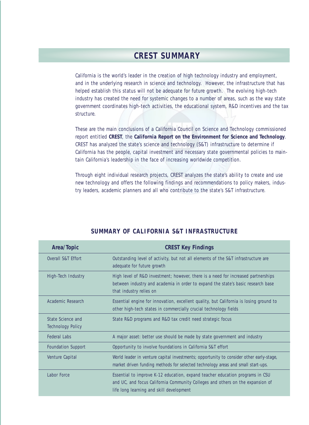## **CREST SUMMARY**

California is the world's leader in the creation of high technology industry and employment, and in the underlying research in science and technology. However, the infrastructure that has helped establish this status will not be adequate for future growth. The evolving high-tech industry has created the need for systemic changes to a number of areas, such as the way state government coordinates high-tech activities, the educational system, R&D incentives and the tax structure.

These are the main conclusions of a California Council on Science and Technology commissioned report entitled **CREST**, the **California Report on the Environment for Science and Technology**. CREST has analyzed the state's science and technology (S&T) infrastructure to determine if California has the people, capital investment and necessary state governmental policies to maintain California's leadership in the face of increasing worldwide competition.

Through eight individual research projects, CREST analyzes the state's ability to create and use new technology and offers the following findings and recommendations to policy makers, industry leaders, academic planners and all who contribute to the state's S&T infrastructure.

| Area/Topic                                    | <b>CREST Key Findings</b>                                                                                                                                                                                   |  |  |
|-----------------------------------------------|-------------------------------------------------------------------------------------------------------------------------------------------------------------------------------------------------------------|--|--|
| Overall S&T Effort                            | Outstanding level of activity, but not all elements of the S&T infrastructure are<br>adequate for future growth                                                                                             |  |  |
| High-Tech Industry                            | High level of R&D investment; however, there is a need for increased partnerships<br>between industry and academia in order to expand the state's basic research base<br>that industry relies on            |  |  |
| Academic Research                             | Essential engine for innovation, excellent quality, but California is losing ground to<br>other high-tech states in commercially crucial technology fields                                                  |  |  |
| State Science and<br><b>Technology Policy</b> | State R&D programs and R&D tax credit need strategic focus                                                                                                                                                  |  |  |
| <b>Federal Labs</b>                           | A major asset: better use should be made by state government and industry                                                                                                                                   |  |  |
| <b>Foundation Support</b>                     | Opportunity to involve foundations in California S&T effort                                                                                                                                                 |  |  |
| Venture Capital                               | World leader in venture capital investments; opportunity to consider other early-stage,<br>market driven funding methods for selected technology areas and small start-ups.                                 |  |  |
| Labor Force                                   | Essential to improve K-12 education, expand teacher education programs in CSU<br>and UC, and focus California Community Colleges and others on the expansion of<br>life long learning and skill development |  |  |

### **SUMMARY OF CALIFORNIA S&T INFRASTRUCTURE**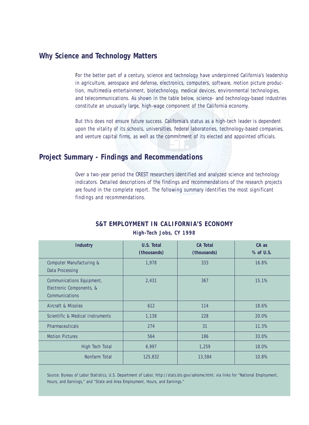## **Why Science and Technology Matters**

For the better part of a century, science and technology have underpinned California's leadership in agriculture, aerospace and defense, electronics, computers, software, motion picture production, multimedia entertainment, biotechnology, medical devices, environmental technologies, and telecommunications. As shown in the table below, science- and technology-based industries constitute an unusually large, high-wage component of the California economy.

But this does not ensure future success. California's status as a high-tech leader is dependent upon the vitality of its schools, universities, federal laboratories, technology-based companies, and venture capital firms, as well as the commitment of its elected and appointed officials.

## **Project Summary - Findings and Recommendations**

Over a two-year period the CREST researchers identified and analyzed science and technology indicators. Detailed descriptions of the findings and recommendations of the research projects are found in the complete report. The following summary identifies the most significant findings and recommendations.

| <b>Industry</b>                                                         | U.S. Total<br>(thousands) | <b>CA Total</b><br>(thousands) | $CA$ as<br>% of U.S. |
|-------------------------------------------------------------------------|---------------------------|--------------------------------|----------------------|
| Computer Manufacturing &<br>Data Processing                             | 1.978                     | 333                            | 16.8%                |
| Communications Equipment,<br>Electronic Components, &<br>Communications | 2,431                     | 367                            | 15.1%                |
| Aircraft & Missiles                                                     | 612                       | 114                            | 18.6%                |
| Scientific & Medical Instruments                                        | 1,138                     | 228                            | 20.0%                |
| <b>Pharmaceuticals</b>                                                  | 274                       | 31                             | 11.3%                |
| <b>Motion Pictures</b>                                                  | 564                       | 186                            | 33.0%                |
| High Tech Total                                                         | 6,997                     | 1,259                          | 18.0%                |
| Nonfarm Total                                                           | 125,832                   | 13,584                         | 10.8%                |

## **S&T EMPLOYMENT IN CALIFORNIA'S ECONOMY**

*High-Tech Jobs, CY 1998*

Source: Bureau of Labor Statistics, U.S. Department of Labor, http://stats.bls.gov/sahome.html, via links for "National Employment, Hours, and Earnings," and "State and Area Employment, Hours, and Earnings."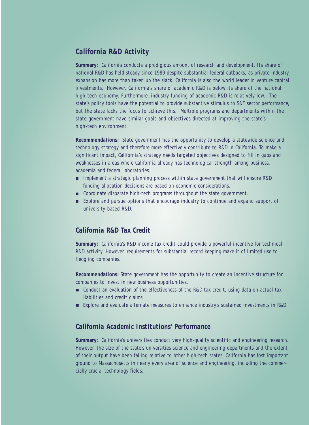## *California R&D Activity*

**Summary:** California conducts a prodigious amount of research and development. Its share of national R&D has held steady since 1989 despite substantial federal cutbacks, as private industry expansion has more than taken up the slack. California is also the world leader in venture capital investments. However, California's share of academic R&D is below its share of the national high-tech economy. Furthermore, industry funding of academic R&D is relatively low. The state's policy tools have the potential to provide substantive stimulus to S&T sector performance, but the state lacks the focus to achieve this. Multiple programs and departments within the state government have similar goals and objectives directed at improving the state's high-tech environment.

**Recommendations:** State government has the opportunity to develop a statewide science and technology strategy and therefore more effectively contribute to R&D in California. To make a significant impact, California's strategy needs targeted objectives designed to fill in gaps and weaknesses in areas where California already has technological strength among business, academia and federal laboratories.

- Implement a strategic planning process within state government that will ensure R&D funding allocation decisions are based on economic considerations.
- Coordinate disparate high-tech programs throughout the state government.
- Explore and pursue options that encourage industry to continue and expand support of university-based R&D.

### *California R&D Tax Credit*

**Summary:** California's R&D income tax credit could provide a powerful incentive for technical R&D activity. However, requirements for substantial record keeping make it of limited use to fledgling companies.

**Recommendations:** State government has the opportunity to create an incentive structure for companies to invest in new business opportunities.

- Conduct an evaluation of the effectiveness of the R&D tax credit, using data on actual tax liabilities and credit claims.
- Explore and evaluate alternate measures to enhance industry's sustained investments in R&D.

### *California Academic Institutions' Performance*

**Summary:** California's universities conduct very high-quality scientific and engineering research. However, the size of the state's universities science and engineering departments and the extent of their output have been falling relative to other high-tech states. California has lost important ground to Massachusetts in nearly every area of science and engineering, including the commercially crucial technology fields.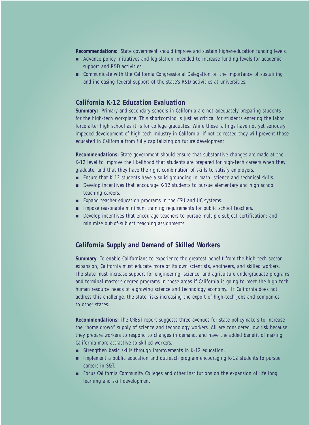**Recommendations:** State government should improve and sustain higher-education funding levels.

- Advance policy initiatives and legislation intended to increase funding levels for academic support and R&D activities.
- Communicate with the California Congressional Delegation on the importance of sustaining and increasing federal support of the state's R&D activities at universities.

## *California K-12 Education Evaluation*

**Summary:** Primary and secondary schools in California are not adequately preparing students for the high-tech workplace. This shortcoming is just as critical for students entering the labor force after high school as it is for college graduates. While these failings have not yet seriously impeded development of high-tech industry in California, if not corrected they will prevent those educated in California from fully capitalizing on future development.

**Recommendations:** State government should ensure that substantive changes are made at the K-12 level to improve the likelihood that students are prepared for high-tech careers when they graduate, and that they have the right combination of skills to satisfy employers.

- Ensure that K-12 students have a solid grounding in math, science and technical skills.
- Develop incentives that encourage K-12 students to pursue elementary and high school teaching careers.
- Expand teacher education programs in the CSU and UC systems.
- Impose reasonable minimum training requirements for public school teachers.
- Develop incentives that encourage teachers to pursue multiple subject certification; and minimize out-of-subject teaching assignments.

### *California Supply and Demand of Skilled Workers*

**Summary**: To enable Californians to experience the greatest benefit from the high-tech sector expansion, California must educate more of its own scientists, engineers, and skilled workers. The state must increase support for engineering, science, and agriculture undergraduate programs and terminal master's degree programs in these areas if California is going to meet the high-tech human resource needs of a growing science and technology economy. If California does not address this challenge, the state risks increasing the export of high-tech jobs and companies to other states.

**Recommendations:** The CREST report suggests three avenues for state policymakers to increase the "home grown" supply of science and technology workers. All are considered low risk because they prepare workers to respond to changes in demand, and have the added benefit of making California more attractive to skilled workers.

- Strengthen basic skills through improvements in K-12 education.
- Implement a public education and outreach program encouraging K-12 students to pursue careers in S&T.
- Focus California Community Colleges and other institutions on the expansion of life long learning and skill development.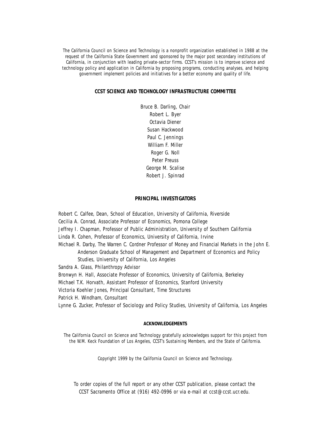The California Council on Science and Technology is a nonprofit organization established in 1988 at the request of the California State Government and sponsored by the major post secondary institutions of California, in conjunction with leading private-sector firms. CCST's mission is to improve science and technology policy and application in California by proposing programs, conducting analyses, and helping government implement policies and initiatives for a better economy and quality of life.

### **CCST SCIENCE AND TECHNOLOGY INFRASTRUCTURE COMMITTEE**

Bruce B. Darling, Chair Robert L. Byer Octavia Diener Susan Hackwood Paul C. Jennings William F. Miller Roger G. Noll Peter Preuss George M. Scalise Robert J. Spinrad

#### **PRINCIPAL INVESTIGATORS**

Robert C. Calfee, Dean, School of Education, University of California, Riverside

Cecilia A. Conrad, Associate Professor of Economics, Pomona College

Jeffrey I. Chapman, Professor of Public Administration, University of Southern California

Linda R. Cohen, Professor of Economics, University of California, Irvine

Michael R. Darby, The Warren C. Cordner Professor of Money and Financial Markets in the John E. Anderson Graduate School of Management and Department of Economics and Policy Studies, University of California, Los Angeles

Sandra A. Glass, Philanthropy Advisor

Bronwyn H. Hall, Associate Professor of Economics, University of California, Berkeley

Michael T.K. Horvath, Assistant Professor of Economics, Stanford University

Victoria Koehler Jones, Principal Consultant, Time Structures

Patrick H. Windham, Consultant

Lynne G. Zucker, Professor of Sociology and Policy Studies, University of California, Los Angeles

#### **ACKNOWLEDGEMENTS**

The California Council on Science and Technology gratefully acknowledges support for this project from the W.M. Keck Foundation of Los Angeles, CCST's Sustaining Members, and the State of California.

Copyright 1999 by the California Council on Science and Technology.

To order copies of the full report or any other CCST publication, please contact the CCST Sacramento Office at (916) 492-0996 or via e-mail at ccst@ccst.ucr.edu.